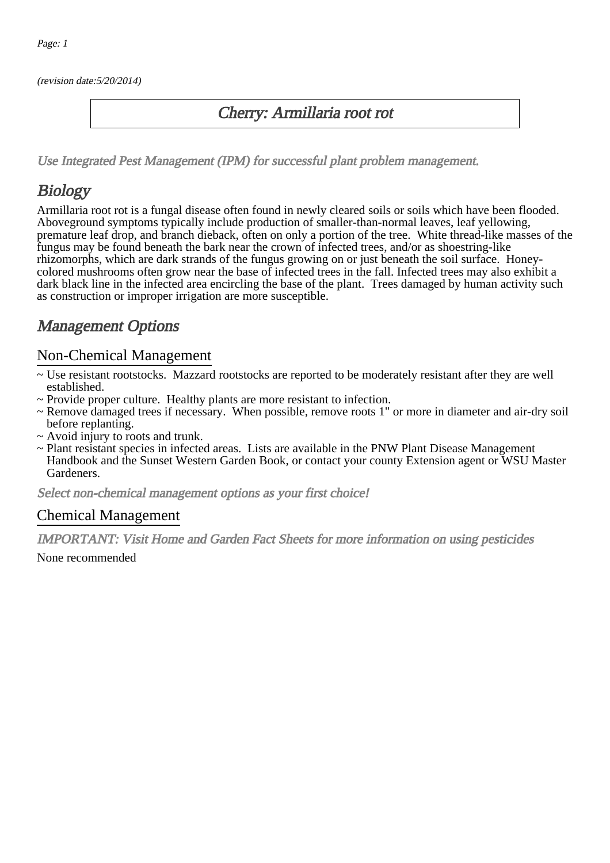(revision date:5/20/2014)

### Cherry: Armillaria root rot

[Use Integrated Pest Management \(IPM\) for successful plant problem management.](http://pep.wsu.edu/Home_Garden/H_G_Pesticide_info/urban_Integrated_Pest_Managmen/)

# **Biology**

Armillaria root rot is a fungal disease often found in newly cleared soils or soils which have been flooded. Aboveground symptoms typically include production of smaller-than-normal leaves, leaf yellowing, premature leaf drop, and branch dieback, often on only a portion of the tree. White thread-like masses of the fungus may be found beneath the bark near the crown of infected trees, and/or as shoestring-like rhizomorphs, which are dark strands of the fungus growing on or just beneath the soil surface. Honeycolored mushrooms often grow near the base of infected trees in the fall. Infected trees may also exhibit a dark black line in the infected area encircling the base of the plant. Trees damaged by human activity such as construction or improper irrigation are more susceptible.

## Management Options

#### Non-Chemical Management

- ~ Use resistant rootstocks. Mazzard rootstocks are reported to be moderately resistant after they are well established.
- ~ Provide proper culture. Healthy plants are more resistant to infection.
- ~ Remove damaged trees if necessary. When possible, remove roots 1" or more in diameter and air-dry soil before replanting.
- ~ Avoid injury to roots and trunk.
- ~ Plant resistant species in infected areas. Lists are available in the PNW Plant Disease Management Handbook and the Sunset Western Garden Book, or contact your county Extension agent or WSU Master Gardeners.

Select non-chemical management options as your first choice!

#### Chemical Management

IMPORTANT: [Visit Home and Garden Fact Sheets for more information on using pesticides](http://pep.wsu.edu/Home_Garden/H_G_Pesticide_info/)

None recommended